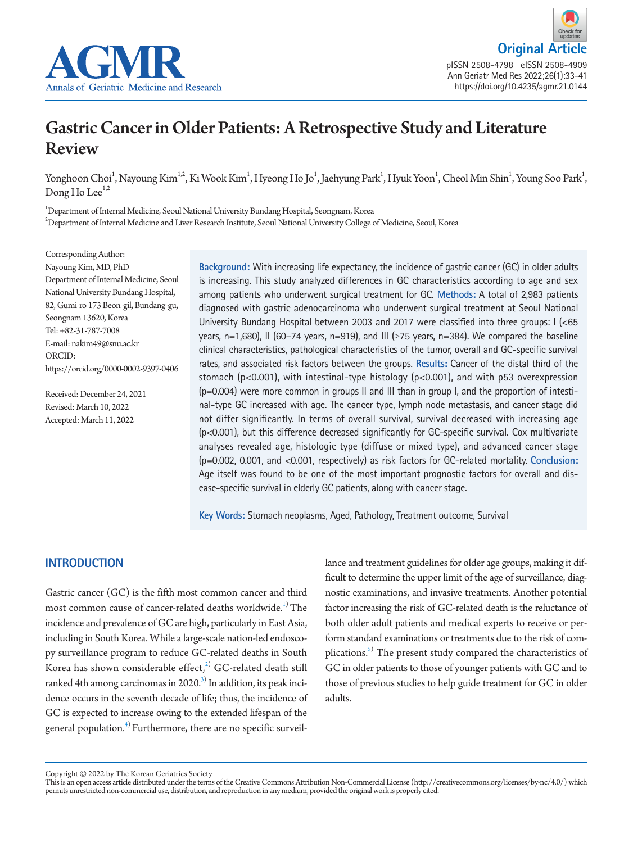



# Gastric Cancer in Older Patients: A Retrospective Study and Literature Review

Yonghoon Choi<sup>1</sup>, Nayoung Kim<sup>1,2</sup>, Ki Wook Kim<sup>1</sup>, Hyeong Ho Jo<sup>1</sup>, Jaehyung Park<sup>1</sup>, Hyuk Yoon<sup>1</sup>, Cheol Min Shin<sup>1</sup>, Young Soo Park<sup>1</sup>, Dong Ho Lee $<sup>1,2</sup>$ </sup>

1 Department of Internal Medicine, Seoul National University Bundang Hospital, Seongnam, Korea  $^2$ Department of Internal Medicine and Liver Research Institute, Seoul National University College of Medicine, Seoul, Korea

Corresponding Author: Nayoung Kim, MD, PhD Department of Internal Medicine, Seoul National University Bundang Hospital, 82, Gumi-ro 173 Beon-gil, Bundang-gu, Seongnam 13620, Korea Tel: +82-31-787-7008 E-mail: nakim49@snu.ac.kr ORCID: https://orcid.org/0000-0002-9397-0406

Received: December 24, 2021 Revised: March 10, 2022 Accepted: March 11, 2022

**Background:** With increasing life expectancy, the incidence of gastric cancer (GC) in older adults is increasing. This study analyzed differences in GC characteristics according to age and sex among patients who underwent surgical treatment for GC. **Methods:** A total of 2,983 patients diagnosed with gastric adenocarcinoma who underwent surgical treatment at Seoul National University Bundang Hospital between 2003 and 2017 were classified into three groups: I (<65 years, n=1,680), II (60-74 years, n=919), and III ( $\geq$ 75 years, n=384). We compared the baseline clinical characteristics, pathological characteristics of the tumor, overall and GC-specific survival rates, and associated risk factors between the groups. **Results:** Cancer of the distal third of the stomach ( $p$ <0.001), with intestinal-type histology ( $p$ <0.001), and with p53 overexpression (p=0.004) were more common in groups II and III than in group I, and the proportion of intestinal-type GC increased with age. The cancer type, lymph node metastasis, and cancer stage did not differ significantly. In terms of overall survival, survival decreased with increasing age (p<0.001), but this difference decreased significantly for GC-specific survival. Cox multivariate analyses revealed age, histologic type (diffuse or mixed type), and advanced cancer stage (p=0.002, 0.001, and <0.001, respectively) as risk factors for GC-related mortality. **Conclusion:** Age itself was found to be one of the most important prognostic factors for overall and disease-specific survival in elderly GC patients, along with cancer stage.

**Key Words:** Stomach neoplasms, Aged, Pathology, Treatment outcome, Survival

# **INTRODUCTION**

Gastric cancer (GC) is the fifth most common cancer and third most common cause of cancer-related deaths worldwide.<sup>1)</sup> The incidence and prevalence of GC are high, particularly in East Asia, including in South Korea. While a large-scale nation-led endoscopy surveillance program to reduce GC-related deaths in South Korea has shown considerable effect, $^{2)}$  $^{2)}$  $^{2)}$  GC-related death still ranked 4th among carcinomas in 2020.<sup>3)</sup> In addition, its peak incidence occurs in the seventh decade of life; thus, the incidence of GC is expected to increase owing to the extended lifespan of the general population.<sup>[4](#page-7-1))</sup> Furthermore, there are no specific surveillance and treatment guidelines for older age groups, making it difficult to determine the upper limit of the age of surveillance, diagnostic examinations, and invasive treatments. Another potential factor increasing the risk of GC-related death is the reluctance of both older adult patients and medical experts to receive or perform standard examinations or treatments due to the risk of complications.<sup>5)</sup> The present study compared the characteristics of GC in older patients to those of younger patients with GC and to those of previous studies to help guide treatment for GC in older adults.

Copyright © 2022 by The Korean Geriatrics Society<br>This is an open access article distributed under the terms of the Creative Commons Attribution Non-Commercial License (http://creativecommons.org/licenses/by-nc/4.0/) which permits unrestricted non-commercial use, distribution, and reproduction in any medium, provided the original work is properly cited.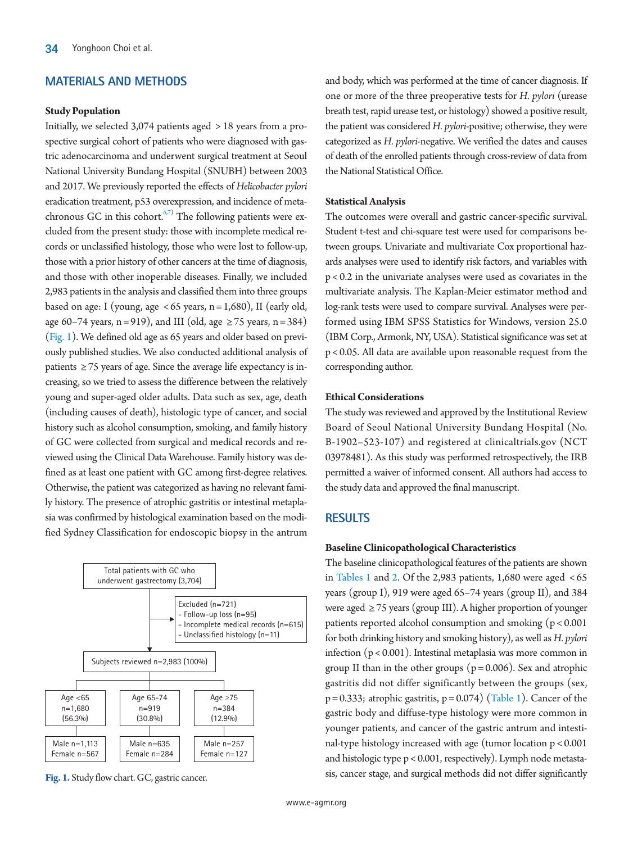## **MATERIALS AND METHODS**

#### **Study Population**

Initially, we selected 3,074 patients aged > 18 years from a prospective surgical cohort of patients who were diagnosed with gastric adenocarcinoma and underwent surgical treatment at Seoul National University Bundang Hospital (SNUBH) between 2003 and 2017. We previously reported the effects of *Helicobacter pylori* eradication treatment, p53 overexpression, and incidence of meta-chronous GC in this cohort.<sup>[6,](#page-8-0)[7\)](#page-8-1)</sup> The following patients were excluded from the present study: those with incomplete medical records or unclassified histology, those who were lost to follow-up, those with a prior history of other cancers at the time of diagnosis, and those with other inoperable diseases. Finally, we included 2,983 patients in the analysis and classified them into three groups based on age: I (young, age  $<65$  years, n = 1,680), II (early old, age 60–74 years, n = 919), and III (old, age  $\geq$  75 years, n = 384) [\(Fig. 1\)](#page-1-0). We defined old age as 65 years and older based on previously published studies. We also conducted additional analysis of patients  $\geq$  75 years of age. Since the average life expectancy is increasing, so we tried to assess the difference between the relatively young and super-aged older adults. Data such as sex, age, death (including causes of death), histologic type of cancer, and social history such as alcohol consumption, smoking, and family history of GC were collected from surgical and medical records and reviewed using the Clinical Data Warehouse. Family history was defined as at least one patient with GC among first-degree relatives. Otherwise, the patient was categorized as having no relevant family history. The presence of atrophic gastritis or intestinal metaplasia was confirmed by histological examination based on the modified Sydney Classification for endoscopic biopsy in the antrum

<span id="page-1-0"></span>

**Fig. 1.** Study flow chart. GC, gastric cancer.

and body, which was performed at the time of cancer diagnosis. If one or more of the three preoperative tests for *H. pylori* (urease breath test, rapid urease test, or histology) showed a positive result, the patient was considered *H. pylori*-positive; otherwise, they were categorized as *H. pylori*-negative. We verified the dates and causes of death of the enrolled patients through cross-review of data from the National Statistical Office.

## **Statistical Analysis**

The outcomes were overall and gastric cancer-specific survival. Student t-test and chi-square test were used for comparisons between groups. Univariate and multivariate Cox proportional hazards analyses were used to identify risk factors, and variables with p < 0.2 in the univariate analyses were used as covariates in the multivariate analysis. The Kaplan-Meier estimator method and log-rank tests were used to compare survival. Analyses were performed using IBM SPSS Statistics for Windows, version 25.0 (IBM Corp., Armonk, NY, USA). Statistical significance was set at p < 0.05. All data are available upon reasonable request from the corresponding author.

## **Ethical Considerations**

The study was reviewed and approved by the Institutional Review Board of Seoul National University Bundang Hospital (No. B-1902–523-107) and registered at clinicaltrials.gov (NCT 03978481). As this study was performed retrospectively, the IRB permitted a waiver of informed consent. All authors had access to the study data and approved the final manuscript.

## **RESULTS**

#### **Baseline Clinicopathological Characteristics**

The baseline clinicopathological features of the patients are shown in [T](#page-2-0)ables 1 and [2](#page-3-0). Of the 2,983 patients, 1,680 were aged  $<65$ years (group I), 919 were aged 65–74 years (group II), and 384 were aged ≥ 75 years (group III). A higher proportion of younger patients reported alcohol consumption and smoking (p < 0.001 for both drinking history and smoking history), as well as *H. pylori* infection (p < 0.001). Intestinal metaplasia was more common in group II than in the other groups ( $p = 0.006$ ). Sex and atrophic gastritis did not differ significantly between the groups (sex,  $p = 0.333$ ; atrophic gastritis,  $p = 0.074$ ) [\(Table 1\)](#page-2-0). Cancer of the gastric body and diffuse-type histology were more common in younger patients, and cancer of the gastric antrum and intestinal-type histology increased with age (tumor location p < 0.001 and histologic type p < 0.001, respectively). Lymph node metastasis, cancer stage, and surgical methods did not differ significantly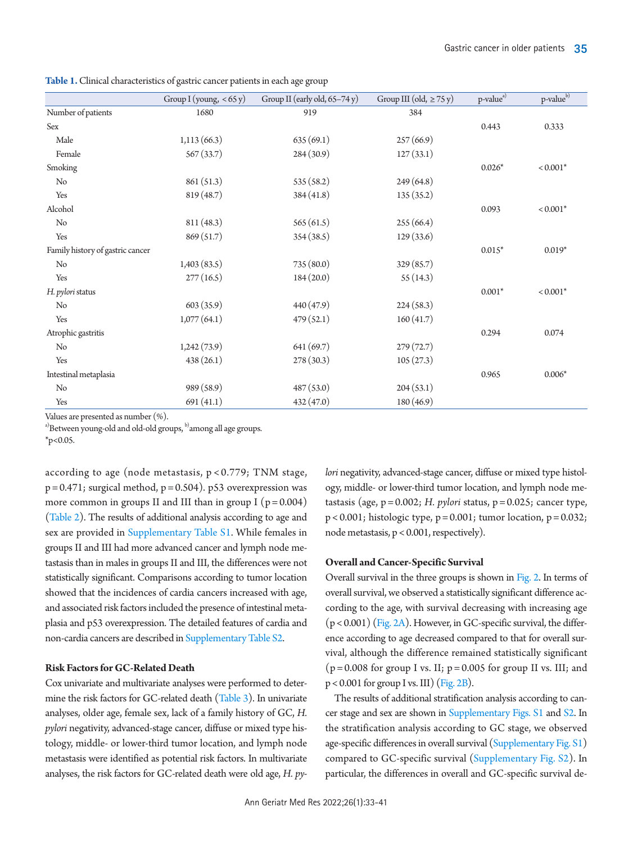<span id="page-2-0"></span>**Table 1.** Clinical characteristics of gastric cancer patients in each age group

|                                  | Group I (young, $< 65 y)$ | Group II (early old, 65-74 y) | Group III (old, $\geq$ 75 y) | p-value <sup>a)</sup> | p-valueb)  |
|----------------------------------|---------------------------|-------------------------------|------------------------------|-----------------------|------------|
| Number of patients               | 1680                      | 919                           | 384                          |                       |            |
| Sex                              |                           |                               |                              | 0.443                 | 0.333      |
| Male                             | 1,113(66.3)               | 635(69.1)                     | 257(66.9)                    |                       |            |
| Female                           | 567(33.7)                 | 284(30.9)                     | 127(33.1)                    |                       |            |
| Smoking                          |                           |                               |                              | $0.026*$              | $< 0.001*$ |
| No                               | 861 (51.3)                | 535 (58.2)                    | 249 (64.8)                   |                       |            |
| Yes                              | 819 (48.7)                | 384(41.8)                     | 135(35.2)                    |                       |            |
| Alcohol                          |                           |                               |                              | 0.093                 | $< 0.001*$ |
| $\rm No$                         | 811(48.3)                 | 565(61.5)                     | 255(66.4)                    |                       |            |
| Yes                              | 869(51.7)                 | 354(38.5)                     | 129(33.6)                    |                       |            |
| Family history of gastric cancer |                           |                               |                              | $0.015*$              | $0.019*$   |
| No                               | 1,403(83.5)               | 735 (80.0)                    | 329 (85.7)                   |                       |            |
| Yes                              | 277(16.5)                 | 184(20.0)                     | 55(14.3)                     |                       |            |
| H. pylori status                 |                           |                               |                              | $0.001*$              | $< 0.001*$ |
| No                               | 603(35.9)                 | 440 (47.9)                    | 224(58.3)                    |                       |            |
| Yes                              | 1,077(64.1)               | 479(52.1)                     | 160(41.7)                    |                       |            |
| Atrophic gastritis               |                           |                               |                              | 0.294                 | 0.074      |
| No                               | 1,242(73.9)               | 641 (69.7)                    | 279(72.7)                    |                       |            |
| Yes                              | 438(26.1)                 | 278(30.3)                     | 105(27.3)                    |                       |            |
| Intestinal metaplasia            |                           |                               |                              | 0.965                 | $0.006*$   |
| No                               | 989 (58.9)                | 487 (53.0)                    | 204(53.1)                    |                       |            |
| Yes                              | 691(41.1)                 | 432 (47.0)                    | 180 (46.9)                   |                       |            |

Values are presented as number (%).

a)Between young-old and old-old groups, <sup>b)</sup>among all age groups.

 $*_{p<0.05}$ .

according to age (node metastasis, p < 0.779; TNM stage,  $p = 0.471$ ; surgical method,  $p = 0.504$ ). p53 overexpression was more common in groups II and III than in group I  $(p = 0.004)$ [\(Table 2\)](#page-3-0). The results of additional analysis according to age and sex are provided in [Supplementary Table S1](#page-7-4). While females in groups II and III had more advanced cancer and lymph node metastasis than in males in groups II and III, the differences were not statistically significant. Comparisons according to tumor location showed that the incidences of cardia cancers increased with age, and associated risk factors included the presence of intestinal metaplasia and p53 overexpression. The detailed features of cardia and non-cardia cancers are described in [Supplementary Table S2.](#page-7-4)

## **Risk Factors for GC-Related Death**

Cox univariate and multivariate analyses were performed to determine the risk factors for GC-related death [\(Table 3\)](#page-4-0). In univariate analyses, older age, female sex, lack of a family history of GC, *H. pylori* negativity, advanced-stage cancer, diffuse or mixed type histology, middle- or lower-third tumor location, and lymph node metastasis were identified as potential risk factors. In multivariate analyses, the risk factors for GC-related death were old age, *H. py-* *lori* negativity, advanced-stage cancer, diffuse or mixed type histology, middle- or lower-third tumor location, and lymph node metastasis (age,  $p = 0.002$ ; *H. pylori* status,  $p = 0.025$ ; cancer type,  $p < 0.001$ ; histologic type,  $p = 0.001$ ; tumor location,  $p = 0.032$ ; node metastasis, p < 0.001, respectively).

## **Overall and Cancer-Specific Survival**

Overall survival in the three groups is shown in [Fig. 2.](#page-5-0) In terms of overall survival, we observed a statistically significant difference according to the age, with survival decreasing with increasing age  $(p < 0.001)$  [\(Fig. 2A](#page-5-0)). However, in GC-specific survival, the difference according to age decreased compared to that for overall survival, although the difference remained statistically significant  $(p = 0.008$  for group I vs. II;  $p = 0.005$  for group II vs. III; and  $p < 0.001$  for group I vs. III) [\(Fig. 2B\)](#page-5-0).

The results of additional stratification analysis according to cancer stage and sex are shown in [Supplementary Figs. S1](#page-7-4) and [S2](#page-7-4). In the stratification analysis according to GC stage, we observed age-specific differences in overall survival [\(Supplementary Fig. S1\)](#page-7-4) compared to GC-specific survival ([Supplementary Fig. S2](#page-7-4)). In particular, the differences in overall and GC-specific survival de-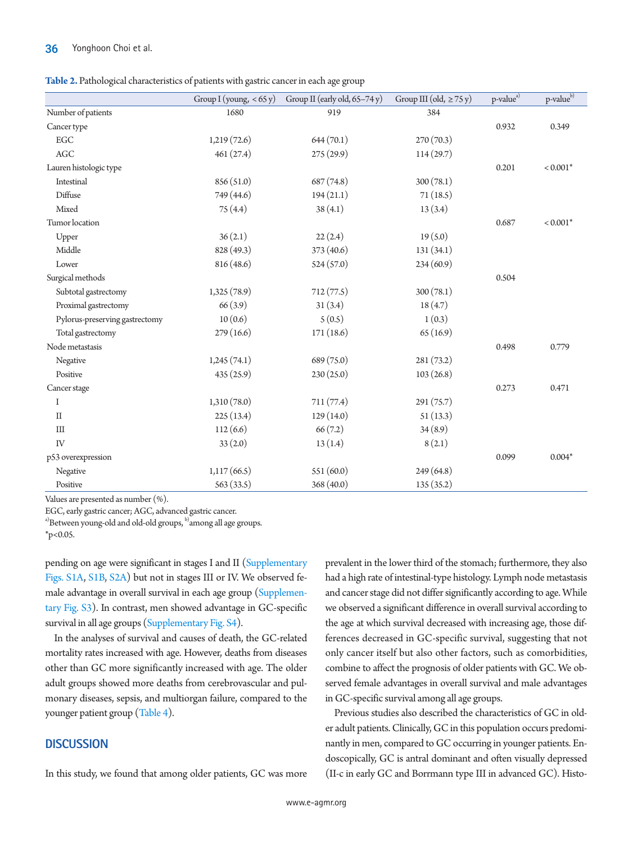<span id="page-3-0"></span>

| Table 2. Pathological characteristics of patients with gastric cancer in each age group |  |  |  |
|-----------------------------------------------------------------------------------------|--|--|--|
|                                                                                         |  |  |  |

|                                | Group I (young, $<$ 65 y) | Group II (early old, 65-74 y) | Group III (old, $\geq$ 75 y) | p-value <sup>a)</sup> | p-valueb)  |
|--------------------------------|---------------------------|-------------------------------|------------------------------|-----------------------|------------|
| Number of patients             | 1680                      | 919                           | 384                          |                       |            |
| Cancer type                    |                           |                               |                              | 0.932                 | 0.349      |
| EGC                            | 1,219(72.6)               | 644(70.1)                     | 270(70.3)                    |                       |            |
| $\rm{AGC}$                     | 461 (27.4)                | 275 (29.9)                    | 114(29.7)                    |                       |            |
| Lauren histologic type         |                           |                               |                              | 0.201                 | $< 0.001*$ |
| Intestinal                     | 856 (51.0)                | 687(74.8)                     | 300(78.1)                    |                       |            |
| Diffuse                        | 749 (44.6)                | 194(21.1)                     | 71(18.5)                     |                       |            |
| Mixed                          | 75(4.4)                   | 38(4.1)                       | 13(3.4)                      |                       |            |
| Tumor location                 |                           |                               |                              | 0.687                 | $< 0.001*$ |
| Upper                          | 36(2.1)                   | 22(2.4)                       | 19(5.0)                      |                       |            |
| Middle                         | 828 (49.3)                | 373 (40.6)                    | 131(34.1)                    |                       |            |
| Lower                          | 816(48.6)                 | 524(57.0)                     | 234(60.9)                    |                       |            |
| Surgical methods               |                           |                               |                              | 0.504                 |            |
| Subtotal gastrectomy           | 1,325(78.9)               | 712(77.5)                     | 300(78.1)                    |                       |            |
| Proximal gastrectomy           | 66(3.9)                   | 31(3.4)                       | 18(4.7)                      |                       |            |
| Pylorus-preserving gastrectomy | 10(0.6)                   | 5(0.5)                        | 1(0.3)                       |                       |            |
| Total gastrectomy              | 279(16.6)                 | 171(18.6)                     | 65(16.9)                     |                       |            |
| Node metastasis                |                           |                               |                              | 0.498                 | 0.779      |
| Negative                       | 1,245(74.1)               | 689 (75.0)                    | 281 (73.2)                   |                       |            |
| Positive                       | 435 (25.9)                | 230(25.0)                     | 103(26.8)                    |                       |            |
| Cancer stage                   |                           |                               |                              | 0.273                 | 0.471      |
| I                              | 1,310(78.0)               | 711(77.4)                     | 291 (75.7)                   |                       |            |
| $\mathbf{I}$                   | 225(13.4)                 | 129(14.0)                     | 51(13.3)                     |                       |            |
| III                            | 112(6.6)                  | 66(7.2)                       | 34(8.9)                      |                       |            |
| IV                             | 33(2.0)                   | 13(1.4)                       | 8(2.1)                       |                       |            |
| p53 overexpression             |                           |                               |                              | 0.099                 | $0.004*$   |
| Negative                       | 1,117(66.5)               | 551(60.0)                     | 249 (64.8)                   |                       |            |
| Positive                       | 563(33.5)                 | 368 (40.0)                    | 135(35.2)                    |                       |            |

Values are presented as number (%).

EGC, early gastric cancer; AGC, advanced gastric cancer.

<sup>a)</sup>Between young-old and old-old groups, <sup>b)</sup>among all age groups.

 $*_{p<0.05}$ .

pending on age were significant in stages I and II ([Supplementary](#page-7-4)  [Figs. S1A,](#page-7-4) [S1B,](#page-7-4) [S2A](#page-7-4)) but not in stages III or IV. We observed female advantage in overall survival in each age group [\(Supplemen](#page-7-4)[tary Fig. S3](#page-7-4)). In contrast, men showed advantage in GC-specific survival in all age groups [\(Supplementary Fig. S4\)](#page-7-4).

In the analyses of survival and causes of death, the GC-related mortality rates increased with age. However, deaths from diseases other than GC more significantly increased with age. The older adult groups showed more deaths from cerebrovascular and pulmonary diseases, sepsis, and multiorgan failure, compared to the younger patient group [\(Table 4\)](#page-5-1).

## **DISCUSSION**

In this study, we found that among older patients, GC was more

prevalent in the lower third of the stomach; furthermore, they also had a high rate of intestinal-type histology. Lymph node metastasis and cancer stage did not differ significantly according to age. While we observed a significant difference in overall survival according to the age at which survival decreased with increasing age, those differences decreased in GC-specific survival, suggesting that not only cancer itself but also other factors, such as comorbidities, combine to affect the prognosis of older patients with GC. We observed female advantages in overall survival and male advantages in GC-specific survival among all age groups.

Previous studies also described the characteristics of GC in older adult patients. Clinically, GC in this population occurs predominantly in men, compared to GC occurring in younger patients. Endoscopically, GC is antral dominant and often visually depressed (II-c in early GC and Borrmann type III in advanced GC). Histo-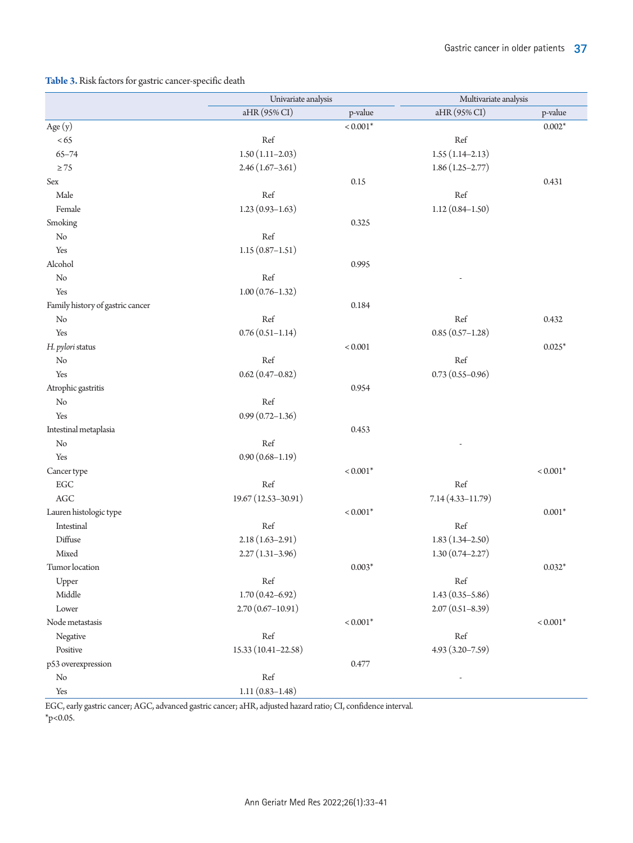# <span id="page-4-0"></span>**Table 3.** Risk factors for gastric cancer-specific death

|                                  |                      | Univariate analysis |                      | Multivariate analysis |  |
|----------------------------------|----------------------|---------------------|----------------------|-----------------------|--|
|                                  | aHR (95% CI)         | p-value             | aHR (95% CI)         | p-value               |  |
| Age $(y)$                        |                      | $< 0.001*$          |                      | $0.002*$              |  |
| <65                              | Ref                  |                     | Ref                  |                       |  |
| $65 - 74$                        | $1.50(1.11-2.03)$    |                     | $1.55(1.14-2.13)$    |                       |  |
| $\geq 75$                        | $2.46(1.67-3.61)$    |                     | $1.86(1.25 - 2.77)$  |                       |  |
| $\mbox{Sex}$                     |                      | 0.15                |                      | 0.431                 |  |
| Male                             | Ref                  |                     | Ref                  |                       |  |
| Female                           | $1.23(0.93 - 1.63)$  |                     | $1.12(0.84 - 1.50)$  |                       |  |
| Smoking                          |                      | 0.325               |                      |                       |  |
| No                               | Ref                  |                     |                      |                       |  |
| Yes                              | $1.15(0.87 - 1.51)$  |                     |                      |                       |  |
| Alcohol                          |                      | 0.995               |                      |                       |  |
| No                               | Ref                  |                     |                      |                       |  |
| Yes                              | $1.00(0.76 - 1.32)$  |                     |                      |                       |  |
| Family history of gastric cancer |                      | 0.184               |                      |                       |  |
| No                               | Ref                  |                     | Ref                  | 0.432                 |  |
| Yes                              | $0.76(0.51 - 1.14)$  |                     | $0.85(0.57-1.28)$    |                       |  |
| H. pylori status                 |                      | $< 0.001$           |                      | $0.025*$              |  |
| No                               | Ref                  |                     | Ref                  |                       |  |
| Yes                              | $0.62(0.47 - 0.82)$  |                     | $0.73(0.55 - 0.96)$  |                       |  |
| Atrophic gastritis               |                      | 0.954               |                      |                       |  |
| No                               | Ref                  |                     |                      |                       |  |
| Yes                              | $0.99(0.72 - 1.36)$  |                     |                      |                       |  |
| Intestinal metaplasia            |                      | 0.453               |                      |                       |  |
| No                               | Ref                  |                     |                      |                       |  |
| Yes                              | $0.90(0.68 - 1.19)$  |                     |                      |                       |  |
| Cancer type                      |                      | $< 0.001*$          |                      | $< 0.001*$            |  |
| EGC                              | Ref                  |                     | Ref                  |                       |  |
| $\rm{AGC}$                       | 19.67 (12.53-30.91)  |                     | $7.14(4.33 - 11.79)$ |                       |  |
| Lauren histologic type           |                      | $< 0.001*$          |                      | $0.001*$              |  |
| Intestinal                       | Ref                  |                     | Ref                  |                       |  |
| Diffuse                          | $2.18(1.63 - 2.91)$  |                     | $1.83(1.34 - 2.50)$  |                       |  |
| Mixed                            | $2.27(1.31-3.96)$    |                     | $1.30(0.74 - 2.27)$  |                       |  |
| Tumor location                   |                      | $0.003*$            |                      | $0.032*$              |  |
| Upper                            | Ref                  |                     | Ref                  |                       |  |
| Middle                           | $1.70(0.42 - 6.92)$  |                     | $1.43(0.35 - 5.86)$  |                       |  |
| Lower                            | $2.70(0.67 - 10.91)$ |                     | $2.07(0.51 - 8.39)$  |                       |  |
| Node metastasis                  |                      | $< 0.001*$          |                      | $< 0.001*$            |  |
| Negative                         | Ref                  |                     | $\operatorname{Ref}$ |                       |  |
| Positive                         | 15.33 (10.41-22.58)  |                     | $4.93(3.20 - 7.59)$  |                       |  |
| p53 overexpression               |                      | 0.477               |                      |                       |  |
| No                               | Ref                  |                     |                      |                       |  |
| Yes                              | $1.11(0.83 - 1.48)$  |                     |                      |                       |  |

EGC, early gastric cancer; AGC, advanced gastric cancer; aHR, adjusted hazard ratio; CI, confidence interval.  $*_{p<0.05}$ .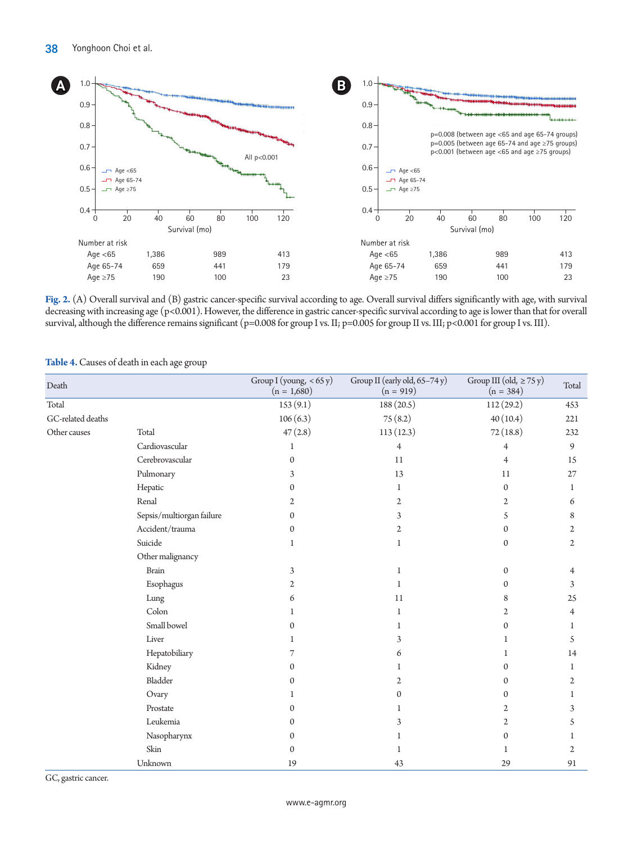<span id="page-5-0"></span>

**Fig. 2.** (A) Overall survival and (B) gastric cancer-specific survival according to age. Overall survival differs significantly with age, with survival decreasing with increasing age (p<0.001). However, the difference in gastric cancer-specific survival according to age is lower than that for overall survival, although the difference remains significant (p=0.008 for group I vs. II; p=0.005 for group II vs. III; p<0.001 for group I vs. III).

<span id="page-5-1"></span>

| Table 4. Causes of death in each age group |  |  |
|--------------------------------------------|--|--|
|--------------------------------------------|--|--|

| Death             |                           | Group I (young, $<$ 65 y)<br>$(n = 1,680)$                   | Group II (early old, 65-74 y)<br>$(n = 919)$ | Group III (old, $\geq$ 75 y)<br>$(n = 384)$ | Total          |
|-------------------|---------------------------|--------------------------------------------------------------|----------------------------------------------|---------------------------------------------|----------------|
| Total             |                           | 153(9.1)                                                     | 188 (20.5)                                   | 112(29.2)                                   | 453            |
| GC-related deaths |                           | 106(6.3)                                                     | 75(8.2)                                      | 40(10.4)                                    | 221            |
| Other causes      | Total                     | 47(2.8)                                                      | 113(12.3)                                    | 72(18.8)                                    | 232            |
|                   | Cardiovascular            | 1                                                            | $\overline{4}$                               | 4                                           | 9              |
|                   | Cerebrovascular           | $\mathbf{0}$                                                 | 11                                           | 4                                           | 15             |
|                   | Pulmonary                 | 3                                                            | 13                                           | 11                                          | 27             |
|                   | Hepatic                   | $\mathbf{0}$                                                 | 1                                            | $\mathbf{0}$                                | 1              |
|                   | Renal                     | $\mathfrak{2}$                                               | $\mathfrak{2}$                               | $\overline{2}$                              | 6              |
|                   | Sepsis/multiorgan failure | $\boldsymbol{0}$                                             | 3                                            | 5                                           | 8              |
|                   | Accident/trauma           | $\boldsymbol{0}$                                             | $\mathfrak{2}$                               | $\mathbf{0}$                                | 2              |
|                   | Suicide                   | 1                                                            | 1                                            | $\mathbf{0}$                                | $\mathfrak{2}$ |
|                   | Other malignancy          |                                                              |                                              |                                             |                |
|                   | <b>Brain</b>              | 3                                                            | 1                                            | $\mathbf{0}$                                | 4              |
|                   | Esophagus                 | $\mathfrak{2}% =\mathfrak{2}\left( \mathfrak{2}\right) ^{2}$ | 1                                            | $\Omega$                                    | 3              |
|                   | Lung                      | 6                                                            | 11                                           | 8                                           | 25             |
|                   | Colon                     | 1                                                            | 1                                            | 2                                           | $\overline{4}$ |
|                   | Small bowel               | 0                                                            | 1                                            | $\mathbf{0}$                                | 1              |
|                   | Liver                     | 1                                                            | 3                                            | 1                                           | 5              |
|                   | Hepatobiliary             | 7                                                            | 6                                            | 1                                           | 14             |
|                   | Kidney                    | $\mathbf{0}$                                                 |                                              | $\Omega$                                    | 1              |
|                   | Bladder                   | $\boldsymbol{0}$                                             | $\overline{2}$                               | $\mathbf{0}$                                | 2              |
|                   | Ovary                     | 1                                                            | $\Omega$                                     | $\Omega$                                    | 1              |
|                   | Prostate                  | 0                                                            | 1                                            | 2                                           | 3              |
|                   | Leukemia                  | 0                                                            | 3                                            | $\mathfrak{2}$                              | 5              |
|                   | Nasopharynx               | $\mathbf{0}$                                                 |                                              | $\Omega$                                    |                |
|                   | Skin                      | 0                                                            | 1                                            | 1                                           | 2              |
|                   | Unknown                   | 19                                                           | 43                                           | 29                                          | 91             |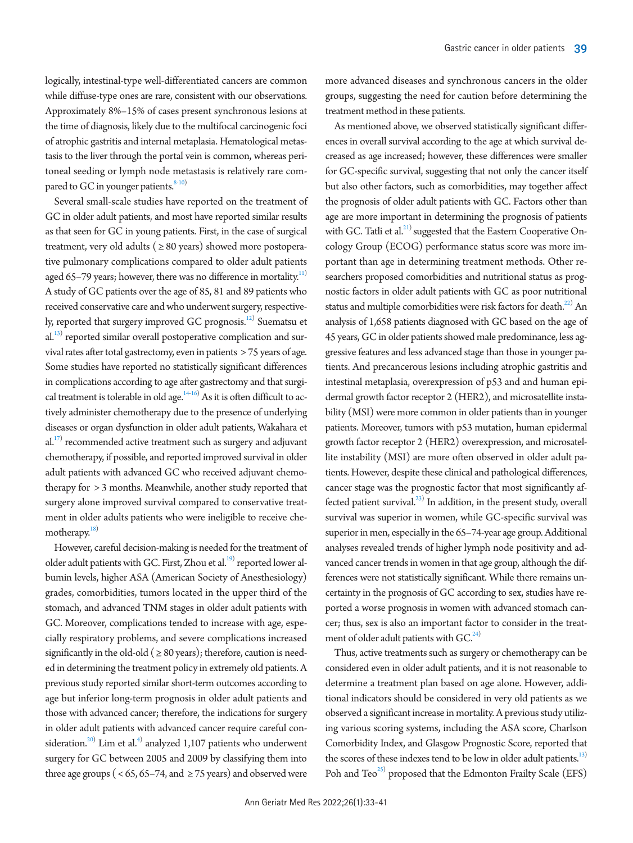logically, intestinal-type well-differentiated cancers are common while diffuse-type ones are rare, consistent with our observations. Approximately 8%–15% of cases present synchronous lesions at the time of diagnosis, likely due to the multifocal carcinogenic foci of atrophic gastritis and internal metaplasia. Hematological metastasis to the liver through the portal vein is common, whereas peritoneal seeding or lymph node metastasis is relatively rare compared to GC in younger patients. $8-10$ 

Several small-scale studies have reported on the treatment of GC in older adult patients, and most have reported similar results as that seen for GC in young patients. First, in the case of surgical treatment, very old adults ( $\geq 80$  years) showed more postoperative pulmonary complications compared to older adult patients aged 65–79 years; however, there was no difference in mortality.<sup>11)</sup> A study of GC patients over the age of 85, 81 and 89 patients who received conservative care and who underwent surgery, respective-ly, reported that surgery improved GC prognosis.<sup>[12](#page-8-5))</sup> Suematsu et al.<sup>13)</sup> reported similar overall postoperative complication and survival rates after total gastrectomy, even in patients > 75 years of age. Some studies have reported no statistically significant differences in complications according to age after gastrectomy and that surgical treatment is tolerable in old age. $14-16$  $14-16$  As it is often difficult to actively administer chemotherapy due to the presence of underlying diseases or organ dysfunction in older adult patients, Wakahara et  $al.^{17)}$  $al.^{17)}$  $al.^{17)}$  recommended active treatment such as surgery and adjuvant chemotherapy, if possible, and reported improved survival in older adult patients with advanced GC who received adjuvant chemotherapy for > 3 months. Meanwhile, another study reported that surgery alone improved survival compared to conservative treatment in older adults patients who were ineligible to receive che-motherapy.<sup>[18](#page-8-10))</sup>

However, careful decision-making is needed for the treatment of older adult patients with GC. First, Zhou et al.<sup>19)</sup> reported lower albumin levels, higher ASA (American Society of Anesthesiology) grades, comorbidities, tumors located in the upper third of the stomach, and advanced TNM stages in older adult patients with GC. Moreover, complications tended to increase with age, especially respiratory problems, and severe complications increased significantly in the old-old ( $\geq 80$  years); therefore, caution is needed in determining the treatment policy in extremely old patients. A previous study reported similar short-term outcomes according to age but inferior long-term prognosis in older adult patients and those with advanced cancer; therefore, the indications for surgery in older adult patients with advanced cancer require careful consideration. $^{20)}$  Lim et al.<sup>4)</sup> analyzed 1,107 patients who underwent surgery for GC between 2005 and 2009 by classifying them into three age groups ( <  $65$ ,  $65-74$ , and  $\geq 75$  years) and observed were

more advanced diseases and synchronous cancers in the older groups, suggesting the need for caution before determining the treatment method in these patients.

As mentioned above, we observed statistically significant differences in overall survival according to the age at which survival decreased as age increased; however, these differences were smaller for GC-specific survival, suggesting that not only the cancer itself but also other factors, such as comorbidities, may together affect the prognosis of older adult patients with GC. Factors other than age are more important in determining the prognosis of patients with GC. Tatli et al.<sup>[21](#page-8-13))</sup> suggested that the Eastern Cooperative Oncology Group (ECOG) performance status score was more important than age in determining treatment methods. Other researchers proposed comorbidities and nutritional status as prognostic factors in older adult patients with GC as poor nutritional status and multiple comorbidities were risk factors for death.<sup>22)</sup> An analysis of 1,658 patients diagnosed with GC based on the age of 45 years, GC in older patients showed male predominance, less aggressive features and less advanced stage than those in younger patients. And precancerous lesions including atrophic gastritis and intestinal metaplasia, overexpression of p53 and and human epidermal growth factor receptor 2 (HER2), and microsatellite instability (MSI) were more common in older patients than in younger patients. Moreover, tumors with p53 mutation, human epidermal growth factor receptor 2 (HER2) overexpression, and microsatellite instability (MSI) are more often observed in older adult patients. However, despite these clinical and pathological differences, cancer stage was the prognostic factor that most significantly affected patient survival.<sup>23)</sup> In addition, in the present study, overall survival was superior in women, while GC-specific survival was superior in men, especially in the 65–74-year age group. Additional analyses revealed trends of higher lymph node positivity and advanced cancer trends in women in that age group, although the differences were not statistically significant. While there remains uncertainty in the prognosis of GC according to sex, studies have reported a worse prognosis in women with advanced stomach cancer; thus, sex is also an important factor to consider in the treatment of older adult patients with  $GC^{24}$  $GC^{24}$  $GC^{24}$ .

Thus, active treatments such as surgery or chemotherapy can be considered even in older adult patients, and it is not reasonable to determine a treatment plan based on age alone. However, additional indicators should be considered in very old patients as we observed a significant increase in mortality. A previous study utilizing various scoring systems, including the ASA score, Charlson Comorbidity Index, and Glasgow Prognostic Score, reported that the scores of these indexes tend to be low in older adult patients.<sup>13)</sup> Poh and Teo<sup>25)</sup> proposed that the Edmonton Frailty Scale (EFS)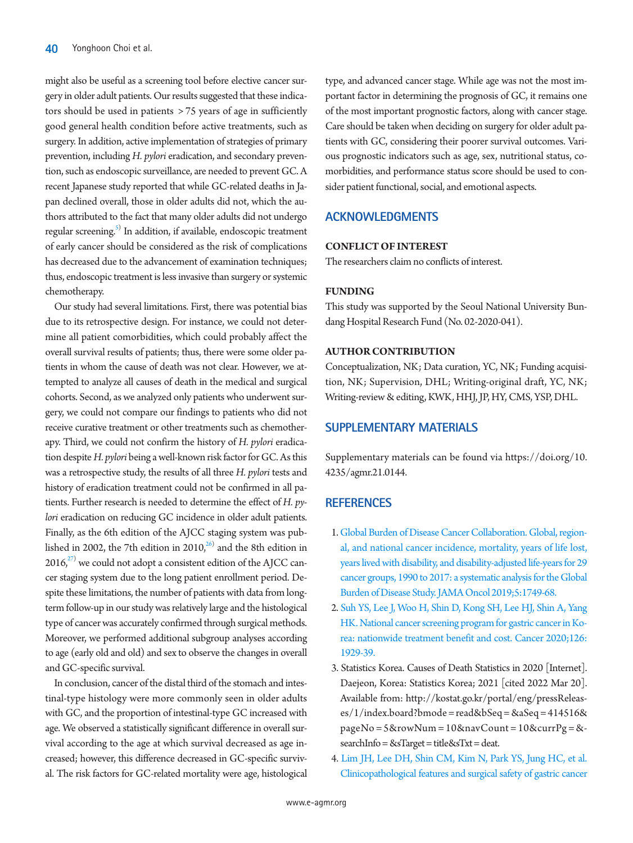might also be useful as a screening tool before elective cancer surgery in older adult patients. Our results suggested that these indicators should be used in patients > 75 years of age in sufficiently good general health condition before active treatments, such as surgery. In addition, active implementation of strategies of primary prevention, including *H. pylori* eradication, and secondary prevention, such as endoscopic surveillance, are needed to prevent GC. A recent Japanese study reported that while GC-related deaths in Japan declined overall, those in older adults did not, which the authors attributed to the fact that many older adults did not undergo regular screening.<sup>5)</sup> In addition, if available, endoscopic treatment of early cancer should be considered as the risk of complications has decreased due to the advancement of examination techniques; thus, endoscopic treatment is less invasive than surgery or systemic chemotherapy.

Our study had several limitations. First, there was potential bias due to its retrospective design. For instance, we could not determine all patient comorbidities, which could probably affect the overall survival results of patients; thus, there were some older patients in whom the cause of death was not clear. However, we attempted to analyze all causes of death in the medical and surgical cohorts. Second, as we analyzed only patients who underwent surgery, we could not compare our findings to patients who did not receive curative treatment or other treatments such as chemotherapy. Third, we could not confirm the history of *H. pylori* eradication despite *H. pylori* being a well-known risk factor for GC. As this was a retrospective study, the results of all three *H. pylori* tests and history of eradication treatment could not be confirmed in all patients. Further research is needed to determine the effect of *H. pylori* eradication on reducing GC incidence in older adult patients. Finally, as the 6th edition of the AJCC staging system was published in 2002, the 7th edition in 2010, $^{26)}$  $^{26)}$  $^{26)}$  and the 8th edition in  $2016$ , $^{27)}$  $^{27)}$  $^{27)}$  we could not adopt a consistent edition of the AJCC cancer staging system due to the long patient enrollment period. Despite these limitations, the number of patients with data from longterm follow-up in our study was relatively large and the histological type of cancer was accurately confirmed through surgical methods. Moreover, we performed additional subgroup analyses according to age (early old and old) and sex to observe the changes in overall and GC-specific survival.

In conclusion, cancer of the distal third of the stomach and intestinal-type histology were more commonly seen in older adults with GC, and the proportion of intestinal-type GC increased with age. We observed a statistically significant difference in overall survival according to the age at which survival decreased as age increased; however, this difference decreased in GC-specific survival. The risk factors for GC-related mortality were age, histological

type, and advanced cancer stage. While age was not the most important factor in determining the prognosis of GC, it remains one of the most important prognostic factors, along with cancer stage. Care should be taken when deciding on surgery for older adult patients with GC, considering their poorer survival outcomes. Various prognostic indicators such as age, sex, nutritional status, comorbidities, and performance status score should be used to consider patient functional, social, and emotional aspects.

# **ACKNOWLEDGMENTS**

## **CONFLICT OF INTEREST**

The researchers claim no conflicts of interest.

## **FUNDING**

This study was supported by the Seoul National University Bundang Hospital Research Fund (No. 02-2020-041).

## **AUTHOR CONTRIBUTION**

Conceptualization, NK; Data curation, YC, NK; Funding acquisition, NK; Supervision, DHL; Writing-original draft, YC, NK; Writing-review & editing, KWK, HHJ, JP, HY, CMS, YSP, DHL.

# <span id="page-7-4"></span>**SUPPLEMENTARY MATERIALS**

Supplementary materials can be found via [https://doi.org/10.](https://doi.org/10.
4235/agmr.21.0144) [4235/agmr.21.0144](https://doi.org/10.
4235/agmr.21.0144).

## **REFERENCES**

- <span id="page-7-0"></span>1. [Global Burden of Disease Cancer Collaboration. Global, region](https://www.ncbi.nlm.nih.gov/pubmed/31560378)[al, and national cancer incidence, mortality, years of life lost,](https://www.ncbi.nlm.nih.gov/pubmed/31560378)  [years lived with disability, and disability-adjusted life-years for 29](https://www.ncbi.nlm.nih.gov/pubmed/31560378)  [cancer groups, 1990 to 2017: a systematic](https://www.ncbi.nlm.nih.gov/pubmed/31560378) analysis for the Global Burden of Disease Study. JAMA Oncol 2019;5:1749-68.
- <span id="page-7-1"></span>2. Suh YS, Lee J, [Woo H, Shin D, Kong SH, Lee HJ, Shin A, Yang](https://doi.org/10.1002/cncr.32753)  [HK. National cancer screening program for gastric cancer in Ko](https://doi.org/10.1002/cncr.32753)[rea: nationwide treatment benefit and cost. Cancer 2020;126:](https://doi.org/10.1002/cncr.32753) [1929-39.](https://doi.org/10.1002/cncr.32753)
- <span id="page-7-3"></span><span id="page-7-2"></span>3. Statistics Korea. Causes of Death Statistics in 2020 [Internet]. Daejeon, Korea: Statistics Korea; 2021 [cited 2022 Mar 20]. Available from: [http://kostat.go.kr/portal/eng/pressReleas](http://kostat.go.kr/portal/eng/pressReleases/1/index.board?bmode=read&bSeq=&aSeq=414516&pageNo=5&rowNum=10&navCount=10&currPg=&searchInfo=&sTarget=title&sTxt=deat)[es/1/index.board?bmode = read&bSeq = &aSeq = 414516&](http://kostat.go.kr/portal/eng/pressReleases/1/index.board?bmode=read&bSeq=&aSeq=414516&pageNo=5&rowNum=10&navCount=10&currPg=&searchInfo=&sTarget=title&sTxt=deat) [pageNo = 5&rowNum = 10&navCount = 10&currPg = &](http://kostat.go.kr/portal/eng/pressReleases/1/index.board?bmode=read&bSeq=&aSeq=414516&pageNo=5&rowNum=10&navCount=10&currPg=&searchInfo=&sTarget=title&sTxt=deat) [searchInfo = &sTarget = title&sTxt = deat](http://kostat.go.kr/portal/eng/pressReleases/1/index.board?bmode=read&bSeq=&aSeq=414516&pageNo=5&rowNum=10&navCount=10&currPg=&searchInfo=&sTarget=title&sTxt=deat).
- 4. [Lim JH, Lee DH, Shin CM, Kim N, Park YS, Jung HC, et al.](https://doi.org/10.3346/jkms.2014.29.12.1639)  [Clinicopathological features and surgical safety of gastric cancer](https://doi.org/10.3346/jkms.2014.29.12.1639)